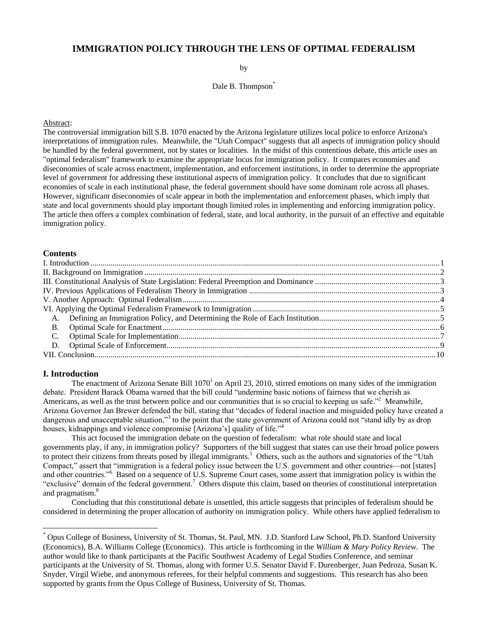# **IMMIGRATION POLICY THROUGH THE LENS OF OPTIMAL FEDERALISM**

by

Dale B. Thompson<sup>\*</sup>

#### Abstract:

The controversial immigration bill S.B. 1070 enacted by the Arizona legislature utilizes local police to enforce Arizona's interpretations of immigration rules. Meanwhile, the "Utah Compact" suggests that all aspects of immigration policy should be handled by the federal government, not by states or localities. In the midst of this contentious debate, this article uses an "optimal federalism" framework to examine the appropriate locus for immigration policy. It compares economies and diseconomies of scale across enactment, implementation, and enforcement institutions, in order to determine the appropriate level of government for addressing these institutional aspects of immigration policy. It concludes that due to significant economies of scale in each institutional phase, the federal government should have some dominant role across all phases. However, significant diseconomies of scale appear in both the implementation and enforcement phases, which imply that state and local governments should play important though limited roles in implementing and enforcing immigration policy. The article then offers a complex combination of federal, state, and local authority, in the pursuit of an effective and equitable immigration policy.

### **Contents**

### <span id="page-0-0"></span>**I. Introduction**

 $\overline{\phantom{a}}$ 

<span id="page-0-1"></span>The enactment of Arizona Senate Bill  $1070<sup>1</sup>$  on April 23, 2010, stirred emotions on many sides of the immigration debate. President Barack Obama warned that the bill could "undermine basic notions of fairness that we cherish as Americans, as well as the trust between police and our communities that is so crucial to keeping us safe.<sup> $2$ </sup> Meanwhile, Arizona Governor Jan Brewer defended the bill, stating that "decades of federal inaction and misguided policy have created a dangerous and unacceptable situation,"<sup>3</sup> to the point that the state government of Arizona could not "stand idly by as drop houses, kidnappings and violence compromise [Arizona's] quality of life."<sup>4</sup>

<span id="page-0-2"></span>This act focused the immigration debate on the question of federalism: what role should state and local governments play, if any, in immigration policy? Supporters of the bill suggest that states can use their broad police powers to protect their citizens from threats posed by illegal immigrants.<sup>5</sup> Others, such as the authors and signatories of the "Utah Compact," assert that "immigration is a federal policy issue between the U.S. government and other countries—not [states] and other countries."<sup>6</sup> Based on a sequence of U.S. Supreme Court cases, some assert that immigration policy is within the "exclusive" domain of the federal government.<sup>7</sup> Others dispute this claim, based on theories of constitutional interpretation and pragmatism.<sup>8</sup>

Concluding that this constitutional debate is unsettled, this article suggests that principles of federalism should be considered in determining the proper allocation of authority on immigration policy. While others have applied federalism to

<sup>\*</sup> Opus College of Business, University of St. Thomas, St. Paul, MN. J.D. Stanford Law School, Ph.D. Stanford University (Economics), B.A. Williams College (Economics). This article is forthcoming in the *William & Mary Policy Review*. The author would like to thank participants at the Pacific Southwest Academy of Legal Studies Conference, and seminar participants at the University of St. Thomas, along with former U.S. Senator David F. Durenberger, Juan Pedroza, Susan K. Snyder, Virgil Wiebe, and anonymous referees, for their helpful comments and suggestions. This research has also been supported by grants from the Opus College of Business, University of St. Thomas.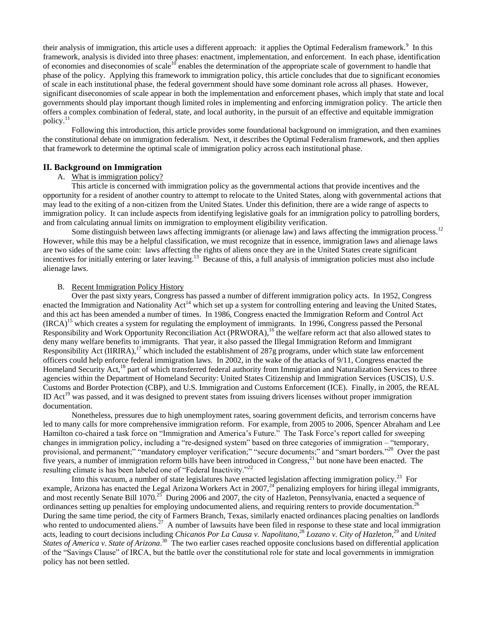<span id="page-1-5"></span>their analysis of immigration, this article uses a different approach: it applies the Optimal Federalism framework.<sup>9</sup> In this framework, analysis is divided into three phases: enactment, implementation, and enforcement. In each phase, identification of economies and diseconomies of scale<sup>10</sup> enables the determination of the appropriate scale of government to handle that phase of the policy. Applying this framework to immigration policy, this article concludes that due to significant economies of scale in each institutional phase, the federal government should have some dominant role across all phases. However, significant diseconomies of scale appear in both the implementation and enforcement phases, which imply that state and local governments should play important though limited roles in implementing and enforcing immigration policy. The article then offers a complex combination of federal, state, and local authority, in the pursuit of an effective and equitable immigration policy.<sup>11</sup>

Following this introduction, this article provides some foundational background on immigration, and then examines the constitutional debate on immigration federalism. Next, it describes the Optimal Federalism framework, and then applies that framework to determine the optimal scale of immigration policy across each institutional phase.

#### <span id="page-1-0"></span>**II. Background on Immigration**

#### A. What is immigration policy?

This article is concerned with immigration policy as the governmental actions that provide incentives and the opportunity for a resident of another country to attempt to relocate to the United States, along with governmental actions that may lead to the exiting of a non-citizen from the United States. Under this definition, there are a wide range of aspects to immigration policy. It can include aspects from identifying legislative goals for an immigration policy to patrolling borders, and from calculating annual limits on immigration to employment eligibility verification.

Some distinguish between laws affecting immigrants (or alienage law) and laws affecting the immigration process.<sup>12</sup> However, while this may be a helpful classification, we must recognize that in essence, immigration laws and alienage laws are two sides of the same coin: laws affecting the rights of aliens once they are in the United States create significant incentives for initially entering or later leaving.<sup>13</sup> Because of this, a full analysis of immigration policies must also include alienage laws.

### <span id="page-1-2"></span><span id="page-1-1"></span>B. Recent Immigration Policy History

Over the past sixty years, Congress has passed a number of different immigration policy acts. In 1952, Congress enacted the Immigration and Nationality Act<sup>14</sup> which set up a system for controlling entering and leaving the United States, and this act has been amended a number of times. In 1986, Congress enacted the Immigration Reform and Control Act  $(IRCA)^{15}$  which creates a system for regulating the employment of immigrants. In 1996, Congress passed the Personal Responsibility and Work Opportunity Reconciliation Act (PRWORA),<sup>16</sup> the welfare reform act that also allowed states to deny many welfare benefits to immigrants. That year, it also passed the Illegal Immigration Reform and Immigrant Responsibility Act (IIRIRA),<sup>17</sup> which included the establishment of 287g programs, under which state law enforcement officers could help enforce federal immigration laws. In 2002, in the wake of the attacks of 9/11, Congress enacted the Homeland Security Act,<sup>18</sup> part of which transferred federal authority from Immigration and Naturalization Services to three agencies within the Department of Homeland Security: United States Citizenship and Immigration Services (USCIS), U.S. Customs and Border Protection (CBP), and U.S. Immigration and Customs Enforcement (ICE). Finally, in 2005, the REAL ID  $Act^{19}$  was passed, and it was designed to prevent states from issuing drivers licenses without proper immigration documentation.

Nonetheless, pressures due to high unemployment rates, soaring government deficits, and terrorism concerns have led to many calls for more comprehensive immigration reform. For example, from 2005 to 2006, Spencer Abraham and Lee Hamilton co-chaired a task force on "Immigration and America's Future." The Task Force's report called for sweeping changes in immigration policy, including a "re-designed system" based on three categories of immigration – "temporary, provisional, and permanent;" "mandatory employer verification;" "secure documents;" and "smart borders."<sup>20</sup> Over the past five years, a number of immigration reform bills have been introduced in Congress, $21$  but none have been enacted. The resulting climate is has been labeled one of "Federal Inactivity."<sup>22</sup>

<span id="page-1-6"></span><span id="page-1-4"></span><span id="page-1-3"></span>Into this vacuum, a number of state legislatures have enacted legislation affecting immigration policy.<sup>23</sup> For example, Arizona has enacted the Legal Arizona Workers Act in 2007,<sup>24</sup> penalizing employers for hiring illegal immigrants, and most recently Senate Bill 1070.<sup>25</sup> During 2006 and 2007, the city of Hazleton, Pennsylvania, enacted a sequence of ordinances setting up penalties for employing undocumented aliens, and requiring renters to provide documentation.<sup>26</sup> During the same time period, the city of Farmers Branch, Texas, similarly enacted ordinances placing penalties on landlords who rented to undocumented aliens.<sup>27</sup> A number of lawsuits have been filed in response to these state and local immigration acts, leading to court decisions including *Chicanos Por La Causa v. Napolitano*, <sup>28</sup> *Lozano v. City of Hazleton*, <sup>29</sup> and *United*  States of America v. State of Arizona.<sup>30</sup> The two earlier cases reached opposite conclusions based on differential application of the "Savings Clause" of IRCA, but the battle over the constitutional role for state and local governments in immigration policy has not been settled.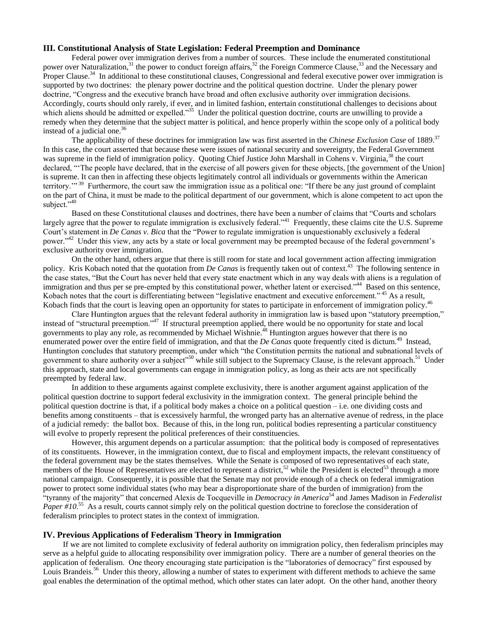# <span id="page-2-0"></span>**III. Constitutional Analysis of State Legislation: Federal Preemption and Dominance**

Federal power over immigration derives from a number of sources. These include the enumerated constitutional power over Naturalization,<sup>31</sup> the power to conduct foreign affairs,<sup>32</sup> the Foreign Commerce Clause,<sup>33</sup> and the Necessary and Proper Clause.<sup>34</sup> In additional to these constitutional clauses, Congressional and federal executive power over immigration is supported by two doctrines: the plenary power doctrine and the political question doctrine. Under the plenary power doctrine, "Congress and the executive branch have broad and often exclusive authority over immigration decisions. Accordingly, courts should only rarely, if ever, and in limited fashion, entertain constitutional challenges to decisions about which aliens should be admitted or expelled."<sup>35</sup> Under the political question doctrine, courts are unwilling to provide a remedy when they determine that the subject matter is political, and hence properly within the scope only of a political body instead of a judicial one. $36$ 

The applicability of these doctrines for immigration law was first asserted in the *Chinese Exclusion Case* of 1889.<sup>37</sup> In this case, the court asserted that because these were issues of national security and sovereignty, the Federal Government was supreme in the field of immigration policy. Quoting Chief Justice John Marshall in Cohens v. Virginia,<sup>38</sup> the court declared, "The people have declared, that in the exercise of all powers given for these objects, [the government of the Union] is supreme. It can then in affecting these objects legitimately control all individuals or governments within the American territory."<sup>39</sup> Furthermore, the court saw the immigration issue as a political one: "If there be any just ground of complaint on the part of China, it must be made to the political department of our government, which is alone competent to act upon the subject. $\cdots^{40}$ 

<span id="page-2-3"></span>Based on these Constitutional clauses and doctrines, there have been a number of claims that "Courts and scholars largely agree that the power to regulate immigration is exclusively federal."<sup>41</sup> Frequently, these claims cite the U.S. Supreme Court's statement in *De Canas v. Bica* that the "Power to regulate immigration is unquestionably exclusively a federal power."<sup>42</sup> Under this view, any acts by a state or local government may be preempted because of the federal government's exclusive authority over immigration.

<span id="page-2-2"></span>On the other hand, others argue that there is still room for state and local government action affecting immigration policy. Kris Kobach noted that the quotation from *De Canas* is frequently taken out of context.<sup>43</sup> The following sentence in the case states, "But the Court has never held that every state enactment which in any way deals with aliens is a regulation of immigration and thus per se pre-empted by this constitutional power, whether latent or exercised."<sup>44</sup> Based on this sentence, Kobach notes that the court is differentiating between "legislative enactment and executive enforcement."<sup>45</sup> As a result, Kobach finds that the court is leaving open an opportunity for states to participate in enforcement of immigration policy.<sup>46</sup>

Clare Huntington argues that the relevant federal authority in immigration law is based upon "statutory preemption," instead of "structural preemption."<sup>47</sup> If structural preemption applied, there would be no opportunity for state and local governments to play any role, as recommended by Michael Wishnie.<sup>48</sup> Huntington argues however that there is no enumerated power over the entire field of immigration, and that the *De Canas* quote frequently cited is dictum.<sup>49</sup> Instead, Huntington concludes that statutory preemption, under which "the Constitution permits the national and subnational levels of government to share authority over a subject<sup>150</sup> while still subject to the Supremacy Clause, is the relevant approach.<sup>51</sup> Under this approach, state and local governments can engage in immigration policy, as long as their acts are not specifically preempted by federal law.

In addition to these arguments against complete exclusivity, there is another argument against application of the political question doctrine to support federal exclusivity in the immigration context. The general principle behind the political question doctrine is that, if a political body makes a choice on a political question – i.e. one dividing costs and benefits among constituents – that is excessively harmful, the wronged party has an alternative avenue of redress, in the place of a judicial remedy: the ballot box. Because of this, in the long run, political bodies representing a particular constituency will evolve to properly represent the political preferences of their constituencies.

However, this argument depends on a particular assumption: that the political body is composed of representatives of its constituents. However, in the immigration context, due to fiscal and employment impacts, the relevant constituency of the federal government may be the states themselves. While the Senate is composed of two representatives of each state, members of the House of Representatives are elected to represent a district,<sup>52</sup> while the President is elected<sup>53</sup> through a more national campaign. Consequently, it is possible that the Senate may not provide enough of a check on federal immigration power to protect some individual states (who may bear a disproportionate share of the burden of immigration) from the ―tyranny of the majority‖ that concerned Alexis de Tocqueville in *Democracy in America*<sup>54</sup> and James Madison in *Federalist*  Paper #10.<sup>55</sup> As a result, courts cannot simply rely on the political question doctrine to foreclose the consideration of federalism principles to protect states in the context of immigration.

# <span id="page-2-1"></span>**IV. Previous Applications of Federalism Theory in Immigration**

If we are not limited to complete exclusivity of federal authority on immigration policy, then federalism principles may serve as a helpful guide to allocating responsibility over immigration policy. There are a number of general theories on the application of federalism. One theory encouraging state participation is the "laboratories of democracy" first espoused by Louis Brandeis.<sup>56</sup> Under this theory, allowing a number of states to experiment with different methods to achieve the same goal enables the determination of the optimal method, which other states can later adopt. On the other hand, another theory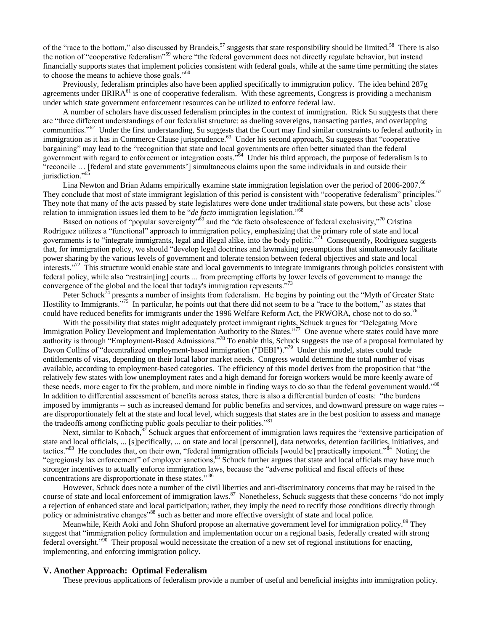of the "race to the bottom," also discussed by Brandeis,<sup>57</sup> suggests that state responsibility should be limited.<sup>58</sup> There is also the notion of "cooperative federalism"<sup>59</sup> where "the federal government does not directly regulate behavior, but instead financially supports states that implement policies consistent with federal goals, while at the same time permitting the states to choose the means to achieve those goals."<sup>60</sup>

Previously, federalism principles also have been applied specifically to immigration policy. The idea behind 287g agreements under IIRIR $A^{61}$  is one of cooperative federalism. With these agreements, Congress is providing a mechanism under which state government enforcement resources can be utilized to enforce federal law.

A number of scholars have discussed federalism principles in the context of immigration. Rick Su suggests that there are "three different understandings of our federalist structure: as dueling sovereigns, transacting parties, and overlapping communities."<sup>62</sup> Under the first understanding, Su suggests that the Court may find similar constraints to federal authority in immigration as it has in Commerce Clause jurisprudence.<sup>63</sup> Under his second approach, Su suggests that "cooperative bargaining" may lead to the "recognition that state and local governments are often better situated than the federal government with regard to enforcement or integration costs.<sup>364</sup> Under his third approach, the purpose of federalism is to "reconcile ... [federal and state governments'] simultaneous claims upon the same individuals in and outside their jurisdiction."<sup>65</sup>

Lina Newton and Brian Adams empirically examine state immigration legislation over the period of 2006-2007.<sup>66</sup> They conclude that most of state immigrant legislation of this period is consistent with "cooperative federalism" principles.<sup>67</sup> They note that many of the acts passed by state legislatures were done under traditional state powers, but these acts' close relation to immigration issues led them to be "*de facto* immigration legislation."<sup>68</sup>

<span id="page-3-5"></span><span id="page-3-3"></span>Based on notions of "popular sovereignty"<sup>69</sup> and the "de facto obsolescence of federal exclusivity,"<sup>70</sup> Cristina Rodriguez utilizes a "functional" approach to immigration policy, emphasizing that the primary role of state and local governments is to "integrate immigrants, legal and illegal alike, into the body politic."<sup>71</sup> Consequently, Rodriguez suggests that, for immigration policy, we should "develop legal doctrines and lawmaking presumptions that simultaneously facilitate power sharing by the various levels of government and tolerate tension between federal objectives and state and local  $\frac{1}{2}$  interests.<sup>772</sup> This structure would enable state and local governments to integrate immigrants through policies consistent with federal policy, while also "restrain[ing] courts ... from preempting efforts by lower levels of government to manage the convergence of the global and the local that today's immigration represents."

<span id="page-3-4"></span><span id="page-3-1"></span>Peter Schuck<sup> $\bar{7}$ </sup> presents a number of insights from federalism. He begins by pointing out the "Myth of Greater State" Hostility to Immigrants."<sup>75</sup> In particular, he points out that there did not seem to be a "race to the bottom," as states that could have reduced benefits for immigrants under the 1996 Welfare Reform Act, the PRWORA, chose not to do so.<sup>76</sup>

With the possibility that states might adequately protect immigrant rights, Schuck argues for "Delegating More" Immigration Policy Development and Implementation Authority to the States."<sup>77</sup> One avenue where states could have more authority is through "Employment-Based Admissions."<sup>78</sup> To enable this, Schuck suggests the use of a proposal formulated by Davon Collins of "decentralized employment-based immigration ("DEBI")."<sup>79</sup> Under this model, states could trade entitlements of visas, depending on their local labor market needs. Congress would determine the total number of visas available, according to employment-based categories. The efficiency of this model derives from the proposition that "the relatively few states with low unemployment rates and a high demand for foreign workers would be more keenly aware of these needs, more eager to fix the problem, and more nimble in finding ways to do so than the federal government would."<sup>80</sup> In addition to differential assessment of benefits across states, there is also a differential burden of costs: "the burdens imposed by immigrants -- such as increased demand for public benefits and services, and downward pressure on wage rates - are disproportionately felt at the state and local level, which suggests that states are in the best position to assess and manage the tradeoffs among conflicting public goals peculiar to their polities."<sup>81</sup>

Next, similar to Kobach, $82$  Schuck argues that enforcement of immigration laws requires the "extensive participation of state and local officials, ... [s]pecifically, ... on state and local [personnel], data networks, detention facilities, initiatives, and tactics."<sup>83</sup> He concludes that, on their own, "federal immigration officials [would be] practically impotent."<sup>84</sup> Noting the "egregiously lax enforcement" of employer sanctions,<sup>85</sup> Schuck further argues that state and local officials may have much stronger incentives to actually enforce immigration laws, because the "adverse political and fiscal effects of these concentrations are disproportionate in these states."<sup>86</sup>

However, Schuck does note a number of the civil liberties and anti-discriminatory concerns that may be raised in the course of state and local enforcement of immigration laws.<sup>87</sup> Nonetheless, Schuck suggests that these concerns "do not imply a rejection of enhanced state and local participation; rather, they imply the need to rectify those conditions directly through policy or administrative changes<sup>888</sup> such as better and more effective oversight of state and local police.

Meanwhile, Keith Aoki and John Shuford propose an alternative government level for immigration policy.<sup>89</sup> They suggest that "immigration policy formulation and implementation occur on a regional basis, federally created with strong federal oversight.<sup>900</sup> Their proposal would necessitate the creation of a new set of regional institutions for enacting, implementing, and enforcing immigration policy.

### <span id="page-3-0"></span>**V. Another Approach: Optimal Federalism**

<span id="page-3-2"></span>These previous applications of federalism provide a number of useful and beneficial insights into immigration policy.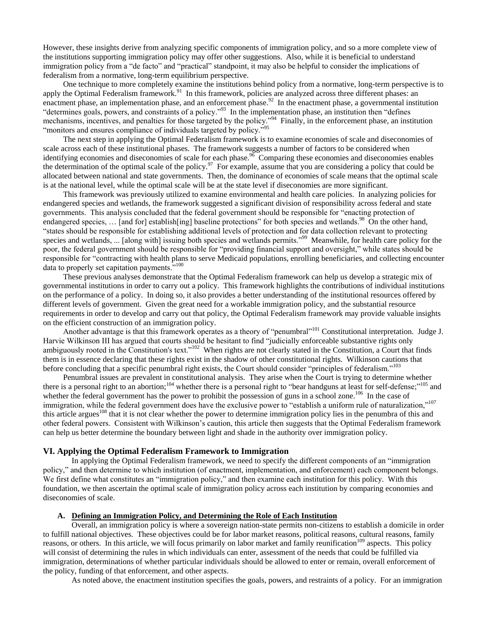However, these insights derive from analyzing specific components of immigration policy, and so a more complete view of the institutions supporting immigration policy may offer other suggestions. Also, while it is beneficial to understand immigration policy from a "de facto" and "practical" standpoint, it may also be helpful to consider the implications of federalism from a normative, long-term equilibrium perspective.

One technique to more completely examine the institutions behind policy from a normative, long-term perspective is to apply the Optimal Federalism framework.<sup>91</sup> In this framework, policies are analyzed across three different phases: an enactment phase, an implementation phase, and an enforcement phase.<sup>92</sup> In the enactment phase, a governmental institution "determines goals, powers, and constraints of a policy."<sup>93</sup> In the implementation phase, an institution then "defines mechanisms, incentives, and penalties for those targeted by the policy."<sup>94</sup> Finally, in the enforcement phase, an institution "monitors and ensures compliance of individuals targeted by policy."<sup>95</sup>

The next step in applying the Optimal Federalism framework is to examine economies of scale and diseconomies of scale across each of these institutional phases. The framework suggests a number of factors to be considered when identifying economies and diseconomies of scale for each phase.<sup>96</sup> Comparing these economies and diseconomies enables the determination of the optimal scale of the policy.<sup>97</sup> For example, assume that you are considering a policy that could be allocated between national and state governments. Then, the dominance of economies of scale means that the optimal scale is at the national level, while the optimal scale will be at the state level if diseconomies are more significant.

This framework was previously utilized to examine environmental and health care policies. In analyzing policies for endangered species and wetlands, the framework suggested a significant division of responsibility across federal and state governments. This analysis concluded that the federal government should be responsible for "enacting protection of endangered species, ... [and for] establish[ing] baseline protections" for both species and wetlands.<sup>98</sup> On the other hand, ―states should be responsible for establishing additional levels of protection and for data collection relevant to protecting species and wetlands, ... [along with] issuing both species and wetlands permits."<sup>99</sup> Meanwhile, for health care policy for the poor, the federal government should be responsible for "providing financial support and oversight," while states should be responsible for "contracting with health plans to serve Medicaid populations, enrolling beneficiaries, and collecting encounter data to properly set capitation payments. $100$ 

These previous analyses demonstrate that the Optimal Federalism framework can help us develop a strategic mix of governmental institutions in order to carry out a policy. This framework highlights the contributions of individual institutions on the performance of a policy. In doing so, it also provides a better understanding of the institutional resources offered by different levels of government. Given the great need for a workable immigration policy, and the substantial resource requirements in order to develop and carry out that policy, the Optimal Federalism framework may provide valuable insights on the efficient construction of an immigration policy.

<span id="page-4-2"></span>Another advantage is that this framework operates as a theory of "penumbral"<sup>101</sup> Constitutional interpretation. Judge J. Harvie Wilkinson III has argued that courts should be hesitant to find "judicially enforceable substantive rights only ambiguously rooted in the Constitution's text."<sup>102</sup> When rights are not clearly stated in the Constitution, a Court that finds them is in essence declaring that these rights exist in the shadow of other constitutional rights. Wilkinson cautions that before concluding that a specific penumbral right exists, the Court should consider "principles of federalism."<sup>103</sup>

Penumbral issues are prevalent in constitutional analysis. They arise when the Court is trying to determine whether there is a personal right to an abortion;<sup>104</sup> whether there is a personal right to "bear handguns at least for self-defense;"<sup>105</sup> and whether the federal government has the power to prohibit the possession of guns in a school zone.<sup>106</sup> In the case of immigration, while the federal government does have the exclusive power to "establish a uniform rule of naturalization,"<sup>107</sup> this article argues<sup>108</sup> that it is not clear whether the power to determine immigration policy lies in the penumbra of this and other federal powers. Consistent with Wilkinson's caution, this article then suggests that the Optimal Federalism framework can help us better determine the boundary between light and shade in the authority over immigration policy.

### <span id="page-4-0"></span>**VI. Applying the Optimal Federalism Framework to Immigration**

In applying the Optimal Federalism framework, we need to specify the different components of an "immigration" policy," and then determine to which institution (of enactment, implementation, and enforcement) each component belongs. We first define what constitutes an "immigration policy," and then examine each institution for this policy. With this foundation, we then ascertain the optimal scale of immigration policy across each institution by comparing economies and diseconomies of scale.

#### **A. Defining an Immigration Policy, and Determining the Role of Each Institution**

<span id="page-4-1"></span>Overall, an immigration policy is where a sovereign nation-state permits non-citizens to establish a domicile in order to fulfill national objectives. These objectives could be for labor market reasons, political reasons, cultural reasons, family reasons, or others. In this article, we will focus primarily on labor market and family reunification<sup>109</sup> aspects. This policy will consist of determining the rules in which individuals can enter, assessment of the needs that could be fulfilled via immigration, determinations of whether particular individuals should be allowed to enter or remain, overall enforcement of the policy, funding of that enforcement, and other aspects.

As noted above, the enactment institution specifies the goals, powers, and restraints of a policy. For an immigration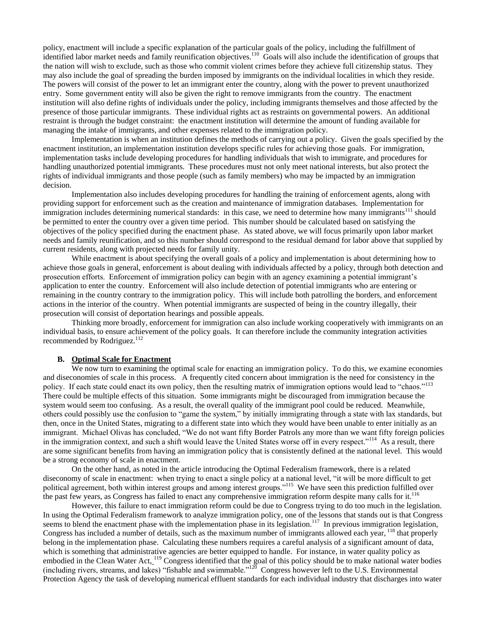policy, enactment will include a specific explanation of the particular goals of the policy, including the fulfillment of identified labor market needs and family reunification objectives.<sup>110</sup> Goals will also include the identification of groups that the nation will wish to exclude, such as those who commit violent crimes before they achieve full citizenship status. They may also include the goal of spreading the burden imposed by immigrants on the individual localities in which they reside. The powers will consist of the power to let an immigrant enter the country, along with the power to prevent unauthorized entry. Some government entity will also be given the right to remove immigrants from the country. The enactment institution will also define rights of individuals under the policy, including immigrants themselves and those affected by the presence of those particular immigrants. These individual rights act as restraints on governmental powers. An additional restraint is through the budget constraint: the enactment institution will determine the amount of funding available for managing the intake of immigrants, and other expenses related to the immigration policy.

Implementation is when an institution defines the methods of carrying out a policy. Given the goals specified by the enactment institution, an implementation institution develops specific rules for achieving those goals. For immigration, implementation tasks include developing procedures for handling individuals that wish to immigrate, and procedures for handling unauthorized potential immigrants. These procedures must not only meet national interests, but also protect the rights of individual immigrants and those people (such as family members) who may be impacted by an immigration decision.

Implementation also includes developing procedures for handling the training of enforcement agents, along with providing support for enforcement such as the creation and maintenance of immigration databases. Implementation for immigration includes determining numerical standards: in this case, we need to determine how many immigrants<sup>111</sup> should be permitted to enter the country over a given time period. This number should be calculated based on satisfying the objectives of the policy specified during the enactment phase. As stated above, we will focus primarily upon labor market needs and family reunification, and so this number should correspond to the residual demand for labor above that supplied by current residents, along with projected needs for family unity.

While enactment is about specifying the overall goals of a policy and implementation is about determining how to achieve those goals in general, enforcement is about dealing with individuals affected by a policy, through both detection and prosecution efforts. Enforcement of immigration policy can begin with an agency examining a potential immigrant's application to enter the country. Enforcement will also include detection of potential immigrants who are entering or remaining in the country contrary to the immigration policy. This will include both patrolling the borders, and enforcement actions in the interior of the country. When potential immigrants are suspected of being in the country illegally, their prosecution will consist of deportation hearings and possible appeals.

Thinking more broadly, enforcement for immigration can also include working cooperatively with immigrants on an individual basis, to ensure achievement of the policy goals. It can therefore include the community integration activities recommended by Rodriguez.<sup>112</sup>

# **B. Optimal Scale for Enactment**

<span id="page-5-0"></span>We now turn to examining the optimal scale for enacting an immigration policy. To do this, we examine economies and diseconomies of scale in this process. A frequently cited concern about immigration is the need for consistency in the policy. If each state could enact its own policy, then the resulting matrix of immigration options would lead to "chaos."<sup>113</sup> There could be multiple effects of this situation. Some immigrants might be discouraged from immigration because the system would seem too confusing. As a result, the overall quality of the immigrant pool could be reduced. Meanwhile, others could possibly use the confusion to "game the system," by initially immigrating through a state with lax standards, but then, once in the United States, migrating to a different state into which they would have been unable to enter initially as an immigrant. Michael Olivas has concluded, "We do not want fifty Border Patrols any more than we want fifty foreign policies in the immigration context, and such a shift would leave the United States worse off in every respect."<sup>114</sup> As a result, there are some significant benefits from having an immigration policy that is consistently defined at the national level. This would be a strong economy of scale in enactment.

On the other hand, as noted in the article introducing the Optimal Federalism framework, there is a related diseconomy of scale in enactment: when trying to enact a single policy at a national level, "it will be more difficult to get political agreement, both within interest groups and among interest groups."<sup>115</sup> We have seen this prediction fulfilled over the past few years, as Congress has failed to enact any comprehensive immigration reform despite many calls for it.<sup>116</sup>

<span id="page-5-1"></span>However, this failure to enact immigration reform could be due to Congress trying to do too much in the legislation. In using the Optimal Federalism framework to analyze immigration policy, one of the lessons that stands out is that Congress seems to blend the enactment phase with the implementation phase in its legislation.<sup>117</sup> In previous immigration legislation, Congress has included a number of details, such as the maximum number of immigrants allowed each year, <sup>118</sup> that properly belong in the implementation phase. Calculating these numbers requires a careful analysis of a significant amount of data, which is something that administrative agencies are better equipped to handle. For instance, in water quality policy as embodied in the Clean Water Act, <sup>119</sup> Congress identified that the goal of this policy should be to make national water bodies (including rivers, streams, and lakes) "fishable and swimmable."<sup>120</sup> Congress however left to the U.S. Environmental Protection Agency the task of developing numerical effluent standards for each individual industry that discharges into water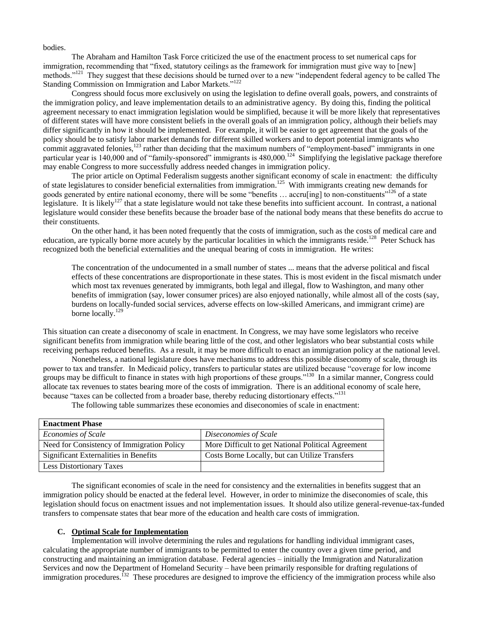bodies.

The Abraham and Hamilton Task Force criticized the use of the enactment process to set numerical caps for immigration, recommending that "fixed, statutory ceilings as the framework for immigration must give way to [new] methods."<sup>121</sup> They suggest that these decisions should be turned over to a new "independent federal agency to be called The Standing Commission on Immigration and Labor Markets."<sup>122</sup>

Congress should focus more exclusively on using the legislation to define overall goals, powers, and constraints of the immigration policy, and leave implementation details to an administrative agency. By doing this, finding the political agreement necessary to enact immigration legislation would be simplified, because it will be more likely that representatives of different states will have more consistent beliefs in the overall goals of an immigration policy, although their beliefs may differ significantly in how it should be implemented. For example, it will be easier to get agreement that the goals of the policy should be to satisfy labor market demands for different skilled workers and to deport potential immigrants who commit aggravated felonies, $123$  rather than deciding that the maximum numbers of "employment-based" immigrants in one particular year is 140,000 and of "family-sponsored" immigrants is 480,000.<sup>124</sup> Simplifying the legislative package therefore may enable Congress to more successfully address needed changes in immigration policy.

The prior article on Optimal Federalism suggests another significant economy of scale in enactment: the difficulty of state legislatures to consider beneficial externalities from immigration.<sup>125</sup> With immigrants creating new demands for goods generated by entire national economy, there will be some "benefits … accru[ing] to non-constituents"<sup>126</sup> of a state legislature. It is likely<sup>127</sup> that a state legislature would not take these benefits into sufficient account. In contrast, a national legislature would consider these benefits because the broader base of the national body means that these benefits do accrue to their constituents.

On the other hand, it has been noted frequently that the costs of immigration, such as the costs of medical care and education, are typically borne more acutely by the particular localities in which the immigrants reside.<sup>128</sup> Peter Schuck has recognized both the beneficial externalities and the unequal bearing of costs in immigration. He writes:

The concentration of the undocumented in a small number of states ... means that the adverse political and fiscal effects of these concentrations are disproportionate in these states. This is most evident in the fiscal mismatch under which most tax revenues generated by immigrants, both legal and illegal, flow to Washington, and many other benefits of immigration (say, lower consumer prices) are also enjoyed nationally, while almost all of the costs (say, burdens on locally-funded social services, adverse effects on low-skilled Americans, and immigrant crime) are borne locally.<sup>129</sup>

This situation can create a diseconomy of scale in enactment. In Congress, we may have some legislators who receive significant benefits from immigration while bearing little of the cost, and other legislators who bear substantial costs while receiving perhaps reduced benefits. As a result, it may be more difficult to enact an immigration policy at the national level.

Nonetheless, a national legislature does have mechanisms to address this possible diseconomy of scale, through its power to tax and transfer. In Medicaid policy, transfers to particular states are utilized because "coverage for low income groups may be difficult to finance in states with high proportions of these groups."<sup>130</sup> In a similar manner, Congress could allocate tax revenues to states bearing more of the costs of immigration. There is an additional economy of scale here, because "taxes can be collected from a broader base, thereby reducing distortionary effects."<sup>131</sup>

The following table summarizes these economies and diseconomies of scale in enactment:

| <b>Enactment Phase</b>                     |                                                    |
|--------------------------------------------|----------------------------------------------------|
| <b>Economies of Scale</b>                  | Diseconomies of Scale                              |
| Need for Consistency of Immigration Policy | More Difficult to get National Political Agreement |
| Significant Externalities in Benefits      | Costs Borne Locally, but can Utilize Transfers     |
| <b>Less Distortionary Taxes</b>            |                                                    |

The significant economies of scale in the need for consistency and the externalities in benefits suggest that an immigration policy should be enacted at the federal level. However, in order to minimize the diseconomies of scale, this legislation should focus on enactment issues and not implementation issues. It should also utilize general-revenue-tax-funded transfers to compensate states that bear more of the education and health care costs of immigration.

#### **C. Optimal Scale for Implementation**

<span id="page-6-0"></span>Implementation will involve determining the rules and regulations for handling individual immigrant cases, calculating the appropriate number of immigrants to be permitted to enter the country over a given time period, and constructing and maintaining an immigration database. Federal agencies – initially the Immigration and Naturalization Services and now the Department of Homeland Security – have been primarily responsible for drafting regulations of immigration procedures.<sup>132</sup> These procedures are designed to improve the efficiency of the immigration process while also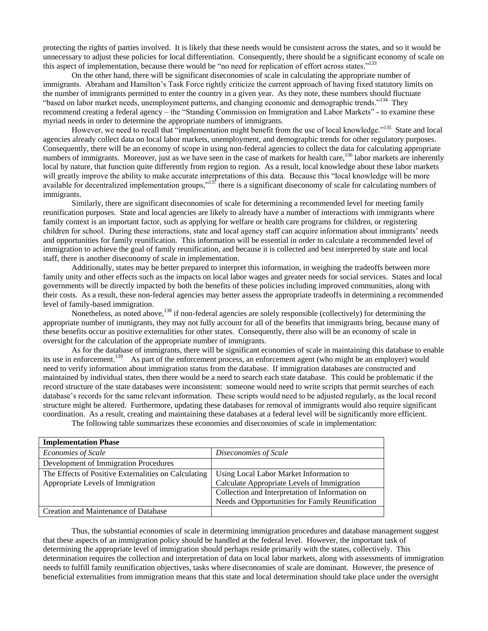protecting the rights of parties involved. It is likely that these needs would be consistent across the states, and so it would be unnecessary to adjust these policies for local differentiation. Consequently, there should be a significant economy of scale on this aspect of implementation, because there would be "no need for replication of effort across states."<sup>133</sup>

On the other hand, there will be significant diseconomies of scale in calculating the appropriate number of immigrants. Abraham and Hamilton's Task Force rightly criticize the current approach of having fixed statutory limits on the number of immigrants permitted to enter the country in a given year. As they note, these numbers should fluctuate "based on labor market needs, unemployment patterns, and changing economic and demographic trends."<sup>134</sup> They recommend creating a federal agency – the "Standing Commission on Immigration and Labor Markets" - to examine these myriad needs in order to determine the appropriate numbers of immigrants.

However, we need to recall that "implementation might benefit from the use of local knowledge."<sup>135</sup> State and local agencies already collect data on local labor markets, unemployment, and demographic trends for other regulatory purposes. Consequently, there will be an economy of scope in using non-federal agencies to collect the data for calculating appropriate numbers of immigrants. Moreover, just as we have seen in the case of markets for health care,<sup>136</sup> labor markets are inherently local by nature, that function quite differently from region to region. As a result, local knowledge about these labor markets will greatly improve the ability to make accurate interpretations of this data. Because this "local knowledge will be more available for decentralized implementation groups," $137$  there is a significant diseconomy of scale for calculating numbers of immigrants.

Similarly, there are significant diseconomies of scale for determining a recommended level for meeting family reunification purposes. State and local agencies are likely to already have a number of interactions with immigrants where family context is an important factor, such as applying for welfare or health care programs for children, or registering children for school. During these interactions, state and local agency staff can acquire information about immigrants' needs and opportunities for family reunification. This information will be essential in order to calculate a recommended level of immigration to achieve the goal of family reunification, and because it is collected and best interpreted by state and local staff, there is another diseconomy of scale in implementation.

Additionally, states may be better prepared to interpret this information, in weighing the tradeoffs between more family unity and other effects such as the impacts on local labor wages and greater needs for social services. States and local governments will be directly impacted by both the benefits of these policies including improved communities, along with their costs. As a result, these non-federal agencies may better assess the appropriate tradeoffs in determining a recommended level of family-based immigration.

Nonetheless, as noted above,<sup>138</sup> if non-federal agencies are solely responsible (collectively) for determining the appropriate number of immigrants, they may not fully account for all of the benefits that immigrants bring, because many of these benefits occur as positive externalities for other states. Consequently, there also will be an economy of scale in oversight for the calculation of the appropriate number of immigrants.

As for the database of immigrants, there will be significant economies of scale in maintaining this database to enable its use in enforcement.<sup>139</sup> As part of the enforcement process, an enforcement agent (who might be an employer) would need to verify information about immigration status from the database. If immigration databases are constructed and maintained by individual states, then there would be a need to search each state database. This could be problematic if the record structure of the state databases were inconsistent: someone would need to write scripts that permit searches of each database's records for the same relevant information. These scripts would need to be adjusted regularly, as the local record structure might be altered. Furthermore, updating these databases for removal of immigrants would also require significant coordination. As a result, creating and maintaining these databases at a federal level will be significantly more efficient.

| The following table summarizes these economies and diseconomies of scale in implementation: |  |  |  |
|---------------------------------------------------------------------------------------------|--|--|--|
|                                                                                             |  |  |  |

| <b>Implementation Phase</b>                                                               |                                                                                                     |
|-------------------------------------------------------------------------------------------|-----------------------------------------------------------------------------------------------------|
| <i>Economies of Scale</i>                                                                 | Diseconomies of Scale                                                                               |
| Development of Immigration Procedures                                                     |                                                                                                     |
| The Effects of Positive Externalities on Calculating<br>Appropriate Levels of Immigration | Using Local Labor Market Information to<br>Calculate Appropriate Levels of Immigration              |
|                                                                                           | Collection and Interpretation of Information on<br>Needs and Opportunities for Family Reunification |
| Creation and Maintenance of Database                                                      |                                                                                                     |

Thus, the substantial economies of scale in determining immigration procedures and database management suggest that these aspects of an immigration policy should be handled at the federal level. However, the important task of determining the appropriate level of immigration should perhaps reside primarily with the states, collectively. This determination requires the collection and interpretation of data on local labor markets, along with assessments of immigration needs to fulfill family reunification objectives, tasks where diseconomies of scale are dominant. However, the presence of beneficial externalities from immigration means that this state and local determination should take place under the oversight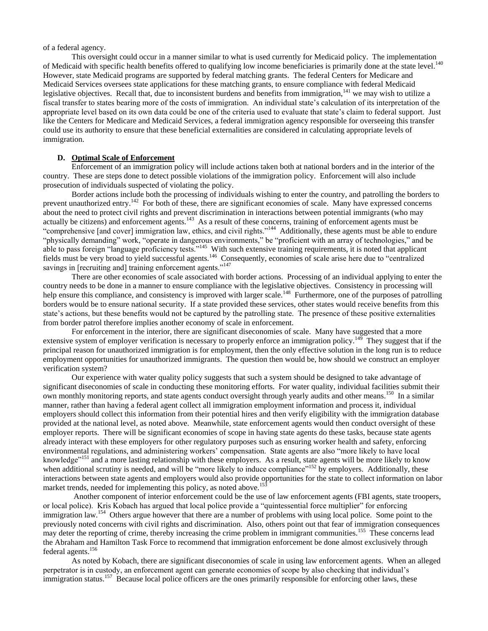of a federal agency.

This oversight could occur in a manner similar to what is used currently for Medicaid policy. The implementation of Medicaid with specific health benefits offered to qualifying low income beneficiaries is primarily done at the state level.<sup>140</sup> However, state Medicaid programs are supported by federal matching grants. The federal Centers for Medicare and Medicaid Services oversees state applications for these matching grants, to ensure compliance with federal Medicaid legislative objectives. Recall that, due to inconsistent burdens and benefits from immigration,<sup>141</sup> we may wish to utilize a fiscal transfer to states bearing more of the costs of immigration. An individual state's calculation of its interpretation of the appropriate level based on its own data could be one of the criteria used to evaluate that state's claim to federal support. Just like the Centers for Medicare and Medicaid Services, a federal immigration agency responsible for overseeing this transfer could use its authority to ensure that these beneficial externalities are considered in calculating appropriate levels of immigration.

# **D. Optimal Scale of Enforcement**

<span id="page-8-0"></span>Enforcement of an immigration policy will include actions taken both at national borders and in the interior of the country. These are steps done to detect possible violations of the immigration policy. Enforcement will also include prosecution of individuals suspected of violating the policy.

Border actions include both the processing of individuals wishing to enter the country, and patrolling the borders to prevent unauthorized entry.<sup>142</sup> For both of these, there are significant economies of scale. Many have expressed concerns about the need to protect civil rights and prevent discrimination in interactions between potential immigrants (who may actually be citizens) and enforcement agents.<sup>143</sup> As a result of these concerns, training of enforcement agents must be "comprehensive [and cover] immigration law, ethics, and civil rights."<sup>144</sup> Additionally, these agents must be able to endure "physically demanding" work, "operate in dangerous environments," be "proficient with an array of technologies," and be able to pass foreign "language proficiency tests."<sup>145</sup> With such extensive training requirements, it is noted that applicant fields must be very broad to yield successful agents.<sup>146</sup> Consequently, economies of scale arise here due to "centralized savings in [recruiting and] training enforcement agents."<sup>147</sup>

There are other economies of scale associated with border actions. Processing of an individual applying to enter the country needs to be done in a manner to ensure compliance with the legislative objectives. Consistency in processing will help ensure this compliance, and consistency is improved with larger scale.<sup>148</sup> Furthermore, one of the purposes of patrolling borders would be to ensure national security. If a state provided these services, other states would receive benefits from this state's actions, but these benefits would not be captured by the patrolling state. The presence of these positive externalities from border patrol therefore implies another economy of scale in enforcement.

For enforcement in the interior, there are significant diseconomies of scale. Many have suggested that a more extensive system of employer verification is necessary to properly enforce an immigration policy.<sup>149</sup> They suggest that if the principal reason for unauthorized immigration is for employment, then the only effective solution in the long run is to reduce employment opportunities for unauthorized immigrants. The question then would be, how should we construct an employer verification system?

Our experience with water quality policy suggests that such a system should be designed to take advantage of significant diseconomies of scale in conducting these monitoring efforts. For water quality, individual facilities submit their own monthly monitoring reports, and state agents conduct oversight through yearly audits and other means.<sup>150</sup> In a similar manner, rather than having a federal agent collect all immigration employment information and process it, individual employers should collect this information from their potential hires and then verify eligibility with the immigration database provided at the national level, as noted above. Meanwhile, state enforcement agents would then conduct oversight of these employer reports. There will be significant economies of scope in having state agents do these tasks, because state agents already interact with these employers for other regulatory purposes such as ensuring worker health and safety, enforcing environmental regulations, and administering workers' compensation. State agents are also "more likely to have local knowledge"<sup>151</sup> and a more lasting relationship with these employers. As a result, state agents will be more likely to know when additional scrutiny is needed, and will be "more likely to induce compliance"<sup>152</sup> by employers. Additionally, these interactions between state agents and employers would also provide opportunities for the state to collect information on labor market trends, needed for implementing this policy, as noted above.<sup>153</sup>

Another component of interior enforcement could be the use of law enforcement agents (FBI agents, state troopers, or local police). Kris Kobach has argued that local police provide a "quintessential force multiplier" for enforcing immigration law.<sup>154</sup> Others argue however that there are a number of problems with using local police. Some point to the previously noted concerns with civil rights and discrimination. Also, others point out that fear of immigration consequences may deter the reporting of crime, thereby increasing the crime problem in immigrant communities.<sup>155</sup> These concerns lead the Abraham and Hamilton Task Force to recommend that immigration enforcement be done almost exclusively through federal agents.<sup>156</sup>

As noted by Kobach, there are significant diseconomies of scale in using law enforcement agents. When an alleged perpetrator is in custody, an enforcement agent can generate economies of scope by also checking that individual's immigration status.<sup>157</sup> Because local police officers are the ones primarily responsible for enforcing other laws, these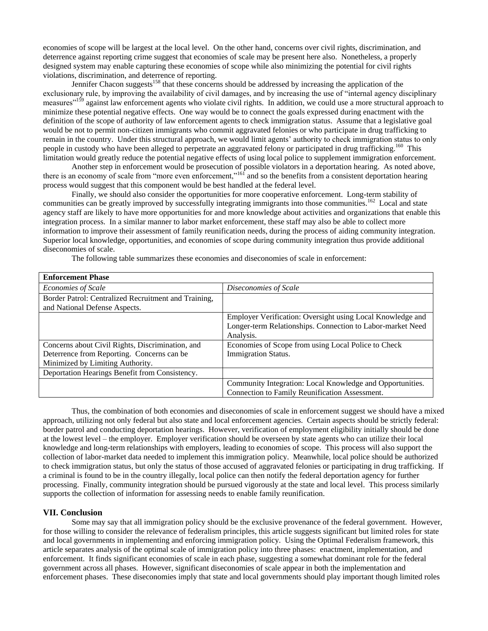economies of scope will be largest at the local level. On the other hand, concerns over civil rights, discrimination, and deterrence against reporting crime suggest that economies of scale may be present here also. Nonetheless, a properly designed system may enable capturing these economies of scope while also minimizing the potential for civil rights violations, discrimination, and deterrence of reporting.

Jennifer Chacon suggests<sup>158</sup> that these concerns should be addressed by increasing the application of the exclusionary rule, by improving the availability of civil damages, and by increasing the use of "internal agency disciplinary measures<sup> $159$ </sup> against law enforcement agents who violate civil rights. In addition, we could use a more structural approach to minimize these potential negative effects. One way would be to connect the goals expressed during enactment with the definition of the scope of authority of law enforcement agents to check immigration status. Assume that a legislative goal would be not to permit non-citizen immigrants who commit aggravated felonies or who participate in drug trafficking to remain in the country. Under this structural approach, we would limit agents' authority to check immigration status to only people in custody who have been alleged to perpetrate an aggravated felony or participated in drug trafficking.<sup>160</sup> This limitation would greatly reduce the potential negative effects of using local police to supplement immigration enforcement.

Another step in enforcement would be prosecution of possible violators in a deportation hearing. As noted above, there is an economy of scale from "more even enforcement,"<sup>161</sup> and so the benefits from a consistent deportation hearing process would suggest that this component would be best handled at the federal level.

Finally, we should also consider the opportunities for more cooperative enforcement. Long-term stability of communities can be greatly improved by successfully integrating immigrants into those communities.<sup>162</sup> Local and state agency staff are likely to have more opportunities for and more knowledge about activities and organizations that enable this integration process. In a similar manner to labor market enforcement, these staff may also be able to collect more information to improve their assessment of family reunification needs, during the process of aiding community integration. Superior local knowledge, opportunities, and economies of scope during community integration thus provide additional diseconomies of scale.

The following table summarizes these economies and diseconomies of scale in enforcement:

| <b>Enforcement Phase</b>                             |                                                            |
|------------------------------------------------------|------------------------------------------------------------|
| <b>Economies of Scale</b>                            | Diseconomies of Scale                                      |
| Border Patrol: Centralized Recruitment and Training, |                                                            |
| and National Defense Aspects.                        |                                                            |
|                                                      | Employer Verification: Oversight using Local Knowledge and |
|                                                      | Longer-term Relationships. Connection to Labor-market Need |
|                                                      | Analysis.                                                  |
| Concerns about Civil Rights, Discrimination, and     | Economies of Scope from using Local Police to Check        |
| Deterrence from Reporting. Concerns can be           | <b>Immigration Status.</b>                                 |
| Minimized by Limiting Authority.                     |                                                            |
| Deportation Hearings Benefit from Consistency.       |                                                            |
|                                                      | Community Integration: Local Knowledge and Opportunities.  |
|                                                      | Connection to Family Reunification Assessment.             |

Thus, the combination of both economies and diseconomies of scale in enforcement suggest we should have a mixed approach, utilizing not only federal but also state and local enforcement agencies. Certain aspects should be strictly federal: border patrol and conducting deportation hearings. However, verification of employment eligibility initially should be done at the lowest level – the employer. Employer verification should be overseen by state agents who can utilize their local knowledge and long-term relationships with employers, leading to economies of scope. This process will also support the collection of labor-market data needed to implement this immigration policy. Meanwhile, local police should be authorized to check immigration status, but only the status of those accused of aggravated felonies or participating in drug trafficking. If a criminal is found to be in the country illegally, local police can then notify the federal deportation agency for further processing. Finally, community integration should be pursued vigorously at the state and local level. This process similarly supports the collection of information for assessing needs to enable family reunification.

# <span id="page-9-0"></span>**VII. Conclusion**

Some may say that all immigration policy should be the exclusive provenance of the federal government. However, for those willing to consider the relevance of federalism principles, this article suggests significant but limited roles for state and local governments in implementing and enforcing immigration policy. Using the Optimal Federalism framework, this article separates analysis of the optimal scale of immigration policy into three phases: enactment, implementation, and enforcement. It finds significant economies of scale in each phase, suggesting a somewhat dominant role for the federal government across all phases. However, significant diseconomies of scale appear in both the implementation and enforcement phases. These diseconomies imply that state and local governments should play important though limited roles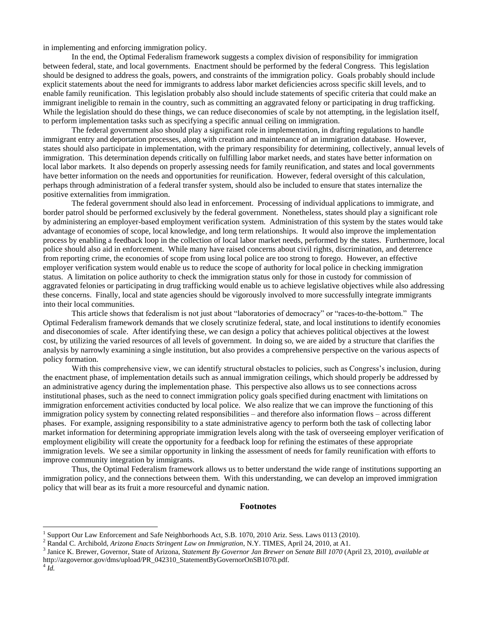in implementing and enforcing immigration policy.

In the end, the Optimal Federalism framework suggests a complex division of responsibility for immigration between federal, state, and local governments. Enactment should be performed by the federal Congress. This legislation should be designed to address the goals, powers, and constraints of the immigration policy. Goals probably should include explicit statements about the need for immigrants to address labor market deficiencies across specific skill levels, and to enable family reunification. This legislation probably also should include statements of specific criteria that could make an immigrant ineligible to remain in the country, such as committing an aggravated felony or participating in drug trafficking. While the legislation should do these things, we can reduce diseconomies of scale by not attempting, in the legislation itself, to perform implementation tasks such as specifying a specific annual ceiling on immigration.

The federal government also should play a significant role in implementation, in drafting regulations to handle immigrant entry and deportation processes, along with creation and maintenance of an immigration database. However, states should also participate in implementation, with the primary responsibility for determining, collectively, annual levels of immigration. This determination depends critically on fulfilling labor market needs, and states have better information on local labor markets. It also depends on properly assessing needs for family reunification, and states and local governments have better information on the needs and opportunities for reunification. However, federal oversight of this calculation, perhaps through administration of a federal transfer system, should also be included to ensure that states internalize the positive externalities from immigration.

The federal government should also lead in enforcement. Processing of individual applications to immigrate, and border patrol should be performed exclusively by the federal government. Nonetheless, states should play a significant role by administering an employer-based employment verification system. Administration of this system by the states would take advantage of economies of scope, local knowledge, and long term relationships. It would also improve the implementation process by enabling a feedback loop in the collection of local labor market needs, performed by the states. Furthermore, local police should also aid in enforcement. While many have raised concerns about civil rights, discrimination, and deterrence from reporting crime, the economies of scope from using local police are too strong to forego. However, an effective employer verification system would enable us to reduce the scope of authority for local police in checking immigration status. A limitation on police authority to check the immigration status only for those in custody for commission of aggravated felonies or participating in drug trafficking would enable us to achieve legislative objectives while also addressing these concerns. Finally, local and state agencies should be vigorously involved to more successfully integrate immigrants into their local communities.

This article shows that federalism is not just about "laboratories of democracy" or "races-to-the-bottom." The Optimal Federalism framework demands that we closely scrutinize federal, state, and local institutions to identify economies and diseconomies of scale. After identifying these, we can design a policy that achieves political objectives at the lowest cost, by utilizing the varied resources of all levels of government. In doing so, we are aided by a structure that clarifies the analysis by narrowly examining a single institution, but also provides a comprehensive perspective on the various aspects of policy formation.

With this comprehensive view, we can identify structural obstacles to policies, such as Congress's inclusion, during the enactment phase, of implementation details such as annual immigration ceilings, which should properly be addressed by an administrative agency during the implementation phase. This perspective also allows us to see connections across institutional phases, such as the need to connect immigration policy goals specified during enactment with limitations on immigration enforcement activities conducted by local police. We also realize that we can improve the functioning of this immigration policy system by connecting related responsibilities – and therefore also information flows – across different phases. For example, assigning responsibility to a state administrative agency to perform both the task of collecting labor market information for determining appropriate immigration levels along with the task of overseeing employer verification of employment eligibility will create the opportunity for a feedback loop for refining the estimates of these appropriate immigration levels. We see a similar opportunity in linking the assessment of needs for family reunification with efforts to improve community integration by immigrants.

Thus, the Optimal Federalism framework allows us to better understand the wide range of institutions supporting an immigration policy, and the connections between them. With this understanding, we can develop an improved immigration policy that will bear as its fruit a more resourceful and dynamic nation.

#### **Footnotes**

4 *Id.*

 $\overline{\phantom{a}}$ 

<sup>1</sup> Support Our Law Enforcement and Safe Neighborhoods Act, S.B. 1070, 2010 Ariz. Sess. Laws 0113 (2010).

<sup>2</sup> Randal C. Archibold, *Arizona Enacts Stringent Law on Immigration*, N.Y. TIMES, April 24, 2010, at A1.

<sup>3</sup> Janice K. Brewer, Governor, State of Arizona, *Statement By Governor Jan Brewer on Senate Bill 1070* (April 23, 2010), *available at* http://azgovernor.gov/dms/upload/PR\_042310\_StatementByGovernorOnSB1070.pdf.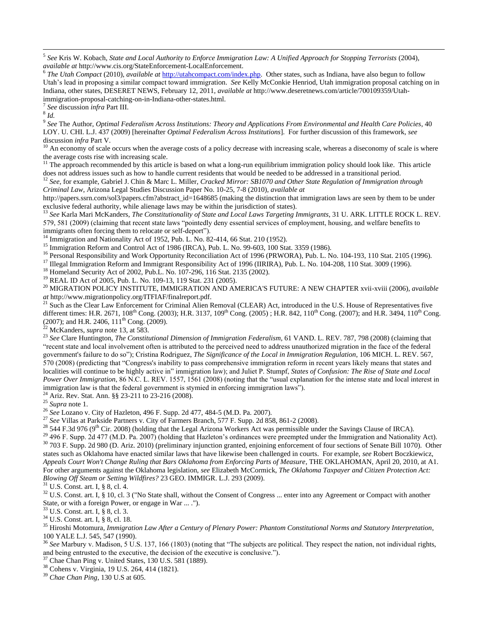7 *See* discussion *infra* Part III.

8 *Id.*

 $\overline{a}$ 

9 *See* The Author, *Optimal Federalism Across Institutions: Theory and Applications From Environmental and Health Care Policies*, 40 LOY. U. CHI. L.J. 437 (2009) [hereinafter *Optimal Federalism Across Institutions*]. For further discussion of this framework, *see* discussion *infra* Part V.

<sup>10</sup> An economy of scale occurs when the average costs of a policy decrease with increasing scale, whereas a diseconomy of scale is where the average costs rise with increasing scale.

<sup>11</sup> The approach recommended by this article is based on what a long-run equilibrium immigration policy should look like. This article does not address issues such as how to handle current residents that would be needed to be addressed in a transitional period.

<sup>12</sup> *See*, for example, Gabriel J. Chin & Marc L. Miller, *Cracked Mirror: SB1070 and Other State Regulation of Immigration through Criminal Law*, Arizona Legal Studies Discussion Paper No. 10-25, 7-8 (2010), *available at*

http://papers.ssrn.com/sol3/papers.cfm?abstract\_id=1648685 (making the distinction that immigration laws are seen by them to be under exclusive federal authority, while alienage laws may be within the jurisdiction of states).

<sup>13</sup> *See* Karla Mari McKanders, *The Constitutionality of State and Local Laws Targeting Immigrants*, 31 U. ARK. LITTLE ROCK L. REV. 579, 581 (2009) (claiming that recent state laws "pointedly deny essential services of employment, housing, and welfare benefits to immigrants often forcing them to relocate or self-deport").

 $14$  Immigration and Nationality Act of 1952, Pub. L. No. 82-414, 66 Stat. 210 (1952).

<sup>15</sup> Immigration Reform and Control Act of 1986 (IRCA), Pub. L. No. 99-603, 100 Stat. 3359 (1986).

<sup>16</sup> Personal Responsibility and Work Opportunity Reconciliation Act of 1996 (PRWORA), Pub. L. No. 104-193, 110 Stat. 2105 (1996).

<sup>17</sup> Illegal Immigration Reform and Immigrant Responsibility Act of 1996 (IIRIRA), Pub. L. No. 104-208, 110 Stat. 3009 (1996).

<sup>18</sup> Homeland Security Act of 2002, Pub.L. No. 107-296, 116 Stat. 2135 (2002).

<sup>19</sup> REAL ID Act of 2005, Pub. L. No. 109-13, 119 Stat. 231 (2005).

<sup>20</sup> MIGRATION POLICY INSTITUTE, IMMIGRATION AND AMERICA'S FUTURE: A NEW CHAPTER xvii-xviii (2006), *available at* http://www.migrationpolicy.org/ITFIAF/finalreport.pdf.

<sup>21</sup> Such as the Clear Law Enforcement for Criminal Alien Removal (CLEAR) Act, introduced in the U.S. House of Representatives five different times: H.R. 2671,  $108^{th}$  Cong. (2003); H.R. 3137,  $109^{th}$  Cong. (2005); H.R. 842,  $110^{th}$  Cong. (2007); and H.R. 3494,  $110^{th}$  Cong.  $(2007)$ ; and H.R. 2406,  $111<sup>th</sup>$  Cong. (2009).

<sup>22</sup> McKanders, *supra* not[e 13,](#page-1-1) at 583.

<sup>23</sup> *See* Clare Huntington, *The Constitutional Dimension of Immigration Federalism*, 61 VAND. L. REV. 787, 798 (2008) (claiming that ―recent state and local involvement often is attributed to the perceived need to address unauthorized migration in the face of the federal government's failure to do so"); Cristina Rodriguez, *The Significance of the Local in Immigration Regulation*, 106 MICH. L. REV. 567, 570 (2008) (predicting that "Congress's inability to pass comprehensive immigration reform in recent years likely means that states and localities will continue to be highly active in" immigration law); and Juliet P. Stumpf, *States of Confusion: The Rise of State and Local Power Over Immigration*, 86 N.C. L. REV. 1557, 1561 (2008) (noting that the "usual explanation for the intense state and local interest in immigration law is that the federal government is stymied in enforcing immigration laws").

Ariz. Rev. Stat. Ann. §§ 23-211 to 23-216 (2008).

<sup>25</sup> *Supra* note [1.](#page-0-1)

<sup>26</sup> *See* Lozano v. City of Hazleton, 496 F. Supp. 2d 477, 484-5 (M.D. Pa. 2007).

<sup>27</sup> See Villas at Parkside Partners v. City of Farmers Branch, 577 F. Supp. 2d 858, 861-2 (2008).

 $^{28}$  544 F.3d 976 (9<sup>th</sup> Cir. 2008) (holding that the Legal Arizona Workers Act was permissible under the Savings Clause of IRCA).

<sup>29</sup> 496 F. Supp. 2d 477 (M.D. Pa. 2007) (holding that Hazleton's ordinances were preempted under the Immigration and Nationality Act). <sup>30</sup> 703 F. Supp. 2d 980 (D. Ariz. 2010) (preliminary injunction granted, enjoining enforcement of four sections of Senate Bill 1070). Other states such as Oklahoma have enacted similar laws that have likewise been challenged in courts. For example, *see* Robert Boczkiewicz, *Appeals Court Won't Change Ruling that Bars Oklahoma from Enforcing Parts of Measure*, THE OKLAHOMAN, April 20, 2010, at A1. For other arguments against the Oklahoma legislation, *see* Elizabeth McCormick, *The Oklahoma Taxpayer and Citizen Protection Act: Blowing Off Steam or Setting Wildfires?* 23 GEO. IMMIGR. L.J. 293 (2009).

<sup>31</sup> U.S. Const. art. I, § 8, cl. 4.

<sup>32</sup> U.S. Const. art. I, § 10, cl. 3 ("No State shall, without the Consent of Congress ... enter into any Agreement or Compact with another State, or with a foreign Power, or engage in War ... .").

U.S. Const. art. I, § 8, cl. 3.

<sup>34</sup> U.S. Const. art. I, § 8, cl. 18.

<sup>35</sup> Hiroshi Motomura, *Immigration Law After a Century of Plenary Power: Phantom Constitutional Norms and Statutory Interpretation*, 100 YALE L.J. 545, 547 (1990).

<sup>36</sup> See Marbury v. Madison, 5 U.S. 137, 166 (1803) (noting that "The subjects are political. They respect the nation, not individual rights, and being entrusted to the executive, the decision of the executive is conclusive.").

Chae Chan Ping v. United States, 130 U.S. 581 (1889).

<sup>38</sup> Cohens v. Virginia, 19 U.S. 264, 414 (1821).

<sup>39</sup> *Chae Chan Ping*, 130 U.S at 605.

<sup>5</sup> *See* Kris W. Kobach, *State and Local Authority to Enforce Immigration Law: A Unified Approach for Stopping Terrorists* (2004), *available at* http://www.cis.org/StateEnforcement-LocalEnforcement.

<sup>6</sup> *The Utah Compact* (2010), *available at* [http://utahcompact.com/index.php.](http://utahcompact.com/index.php) Other states, such as Indiana, have also begun to follow Utah's lead in proposing a similar compact toward immigration. *See* Kelly McConkie Henriod, Utah immigration proposal catching on in Indiana, other states, DESERET NEWS, February 12, 2011, *available at* http://www.deseretnews.com/article/700109359/Utahimmigration-proposal-catching-on-in-Indiana-other-states.html.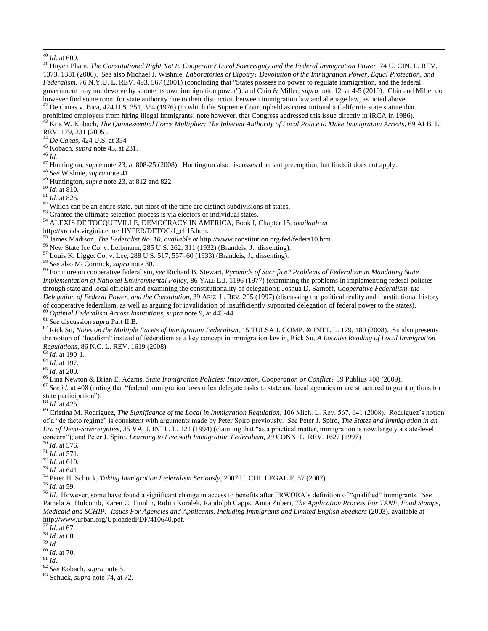$\overline{a}$ 

<sup>41</sup> Huyen Pham, *The Constitutional Right Not to Cooperate? Local Sovereignty and the Federal Immigration Power*, 74 U. CIN. L. REV. 1373, 1381 (2006). *See* also Michael J. Wishnie, *Laboratories of Bigotry? Devolution of the Immigration Power, Equal Protection, and Federalism*, 76 N.Y.U. L. REV. 493, 567 (2001) (concluding that "States possess no power to regulate immigration, and the federal government may not devolve by statute its own immigration power"); and Chin & Miller, *supra* not[e 12,](#page-1-2) at 4-5 (2010). Chin and Miller do however find some room for state authority due to their distinction between immigration law and alienage law, as noted above. <sup>42</sup> De Canas v. Bica, 424 U.S. 351, 354 (1976) (in which the Supreme Court upheld as constitutional a California state statute that prohibited employers from hiring illegal immigrants; note however, that Congress addressed this issue directly in IRCA in 1986).

<sup>43</sup> Kris W. Kobach, *The Quintessential Force Multiplier: The Inherent Authority of Local Police to Make Immigration Arrests*, 69 ALB. L. REV. 179, 231 (2005).

<sup>44</sup> *De Canas*, 424 U.S. at 354

<sup>45</sup> Kobach, *supra* note [43,](#page-2-2) at 231.

<sup>46</sup> *Id.*

<sup>47</sup> Huntington, *supra* not[e 23,](#page-1-3) at 808-25 (2008). Huntington also discusses dormant preemption, but finds it does not apply.

<sup>48</sup> *See* Wishnie, *supra* note [41.](#page-2-3)

<sup>49</sup> Huntington, *supra* not[e 23,](#page-1-3) at 812 and 822.

<sup>50</sup> *Id.* at 810.

<sup>51</sup> *Id.* at 825.

<sup>52</sup> Which can be an entire state, but most of the time are distinct subdivisions of states.

<sup>53</sup> Granted the ultimate selection process is via electors of individual states.

<sup>54</sup> ALEXIS DE TOCQUEVILLE, DEMOCRACY IN AMERICA, Book I, Chapter 15, *available at*

http://xroads.virginia.edu/~HYPER/DETOC/1\_ch15.htm.

<sup>55</sup> James Madison, *The Federalist No. 10*, *available at* http://www.constitution.org/fed/federa10.htm.

<sup>56</sup> New State Ice Co. v. Leibmann, 285 U.S. 262, 311 (1932) (Brandeis, J., dissenting).

 $^{57}$  Louis K. Ligget Co. v. Lee, 288 U.S. 517, 557–60 (1933) (Brandeis, J., dissenting).

<sup>58</sup> *See* also McCormick, *supra* note [30.](#page-1-4)

<sup>59</sup> For more on cooperative federalism, *see* Richard B. Stewart, *Pyramids of Sacrifice? Problems of Federalism in Mandating State Implementation of National Environmental Policy*, 86 YALE L.J. 1196 (1977) (examining the problems in implementing federal policies through state and local officials and examining the constitutionality of delegation); Joshua D. Sarnoff, *Cooperative Federalism, the Delegation of Federal Power, and the Constitution*, 39 ARIZ. L. REV. 205 (1997) (discussing the political reality and constitutional history of cooperative federalism, as well as arguing for invalidation of insufficiently supported delegation of federal power to the states).

<sup>60</sup> *Optimal Federalism Across Institutions*, *supra* not[e 9,](#page-1-5) at 443-44.

<sup>61</sup> *See* discussion *supra* Part II.B.

<sup>62</sup> Rick Su, *Notes on the Multiple Facets of Immigration Federalism*, 15 TULSA J. COMP. & INT'L L. 179, 180 (2008). Su also presents the notion of "localism" instead of federalism as a key concept in immigration law in, Rick Su, *A Localist Reading of Local Immigration Regulations*, 86 N.C. L. REV. 1619 (2008).

 $^{63}$   $\check{Id}$ . at 190-1.

<sup>64</sup> *Id.* at 197.

<sup>65</sup> *Id.* at 200.

<sup>66</sup> Lina Newton & Brian E. Adams, *State Immigration Policies: Innovation, Cooperation or Conflict?* 39 Publius 408 (2009).

<sup>67</sup> See *id.* at 408 (noting that "federal immigration laws often delegate tasks to state and local agencies or are structured to grant options for state participation").

<sup>68</sup> *Id.* at 425.

<sup>69</sup> Cristina M. Rodriguez, *The Significance of the Local in Immigration Regulation*, 106 Mich. L. Rev. 567, 641 (2008). Rodriguez's notion of a "de facto regime" is consistent with arguments made by Peter Spiro previously. *See* Peter J. Spiro, *The States and Immigration in an Era of Demi-Sovereignties*, 35 VA. J. INTL. L. 121 (1994) (claiming that "as a practical matter, immigration is now largely a state-level concern‖); and Peter J. Spiro, *Learning to Live with Immigration Federalism*, 29 CONN. L. REV. 1627 (1997)

<sup>70</sup> *Id.* at 576.

<sup>71</sup> *Id.* at 571.

<sup>72</sup> *Id.* at 610.

<sup>73</sup> *Id.* at 641.

<sup>74</sup> Peter H. Schuck, *Taking Immigration Federalism Seriously*, 2007 U. CHI. LEGAL F. 57 (2007).

<sup>75</sup> *Id.* at 59.

<sup>76</sup> *Id.* However, some have found a significant change in access to benefits after PRWORA's definition of "qualified" immigrants. *See* Pamela A. Holcomb, Karen C. Tumlin, Robin Koralek, Randolph Capps, Anita Zuberi, *The Application Process For TANF, Food Stamps, Medicaid and SCHIP: Issues For Agencies and Applicants, Including Immigrants and Limited English Speakers* (2003), available at http://www.urban.org/UploadedPDF/410640.pdf.

<sup>77</sup> *Id*. at 67.

<sup>78</sup> *Id*. at 68.

<sup>79</sup> *Id*.

<sup>80</sup> *Id*. at 70.

 $^{81}\,$   $ld.$ 

<sup>82</sup> *See* Kobach, *supra* note [5.](#page-0-2)

<sup>83</sup> Schuck, *supra* not[e 74,](#page-3-1) at 72.

<sup>40</sup> *Id*. at 609.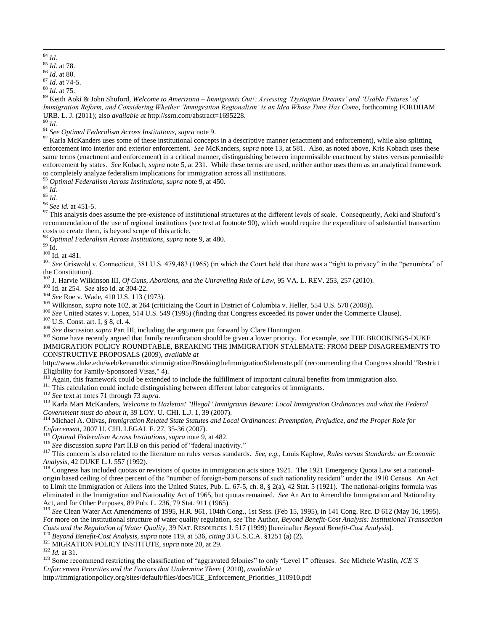<sup>85</sup> *Id*. at 78.

<sup>86</sup> *Id*. at 80.

<sup>88</sup> *Id*. at 75.

<sup>89</sup> Keith Aoki & John Shuford, *Welcome to Amerizona – Immigrants Out!: Assessing 'Dystopian Dreams' and 'Usable Futures' of Immigration Reform, and Considering Whether 'Immigration Regionalism' is an Idea Whose Time Has Come*, forthcoming FORDHAM URB. L. J. (2011); also *available at* http://ssrn.com/abstract=1695228.

<sup>90</sup> *Id.*

<sup>91</sup> *See Optimal Federalism Across Institutions, supra* note [9.](#page-1-5)

 $92$  Karla McKanders uses some of these institutional concepts in a descriptive manner (enactment and enforcement), while also splitting enforcement into interior and exterior enforcement. *See* McKanders, *supra* note [13,](#page-1-1) at 581. Also, as noted above, Kris Kobach uses these same terms (enactment and enforcement) in a critical manner, distinguishing between impermissible enactment by states versus permissible enforcement by states. *See* Kobach, *supra* note [5,](#page-0-2) at 231. While these terms are used, neither author uses them as an analytical framework to completely analyze federalism implications for immigration across all institutions.

<sup>93</sup> *Optimal Federalism Across Institutions, supra* not[e 9,](#page-1-5) at 450.

<sup>94</sup> *Id.*

<sup>95</sup> *Id.*

<sup>96</sup> *See id.* at 451-5.

 $97$  This analysis does assume the pre-existence of institutional structures at the different levels of scale. Consequently, Aoki and Shuford's recommendation of the use of regional institutions (s*ee* text at footnote [90\)](#page-3-2), which would require the expenditure of substantial transaction costs to create them, is beyond scope of this article.

<sup>98</sup> *Optimal Federalism Across Institutions, supra* not[e 9,](#page-1-5) at 480.

 $^{99}$  Id.  $\,$ 

 $\,$   $^{100}$  Id. at 481.

<sup>101</sup> See Griswold v. Connecticut, 381 U.S. 479,483 (1965) (in which the Court held that there was a "right to privacy" in the "penumbra" of the Constitution).

<sup>102</sup> J. Harvie Wilkinson III, *Of Guns, Abortions, and the Unraveling Rule of Law*, 95 VA. L. REV. 253, 257 (2010).

<sup>103</sup> Id. at 254. *See* also id. at 304-22.

<sup>104</sup> *See* Roe v. Wade, 410 U.S. 113 (1973).

<sup>105</sup> Wilkinson, *supra* note [102,](#page-4-2) at 264 (criticizing the Court in District of Columbia v. Heller, 554 U.S. 570 (2008)).

<sup>106</sup> See United States v. Lopez, 514 U.S. 549 (1995) (finding that Congress exceeded its power under the Commerce Clause).

<sup>107</sup> U.S. Const. art. I, § 8, cl. 4.

<sup>108</sup> *See* discussion *supra* Part III, including the argument put forward by Clare Huntington.

<sup>109</sup> Some have recently argued that family reunification should be given a lower priority. For example, *see* THE BROOKINGS-DUKE IMMIGRATION POLICY ROUNDTABLE, BREAKING THE IMMIGRATION STALEMATE: FROM DEEP DISAGREEMENTS TO CONSTRUCTIVE PROPOSALS (2009), *available at*

http://www.duke.edu/web/kenanethics/immigration/BreakingtheImmigrationStalemate.pdf (recommending that Congress should "Restrict Eligibility for Family-Sponsored Visas," 4).

<sup>110</sup> Again, this framework could be extended to include the fulfillment of important cultural benefits from immigration also.

<sup>111</sup> This calculation could include distinguishing between different labor categories of immigrants.

<sup>112</sup> *See* text at note[s 71](#page-3-3) throug[h 73](#page-3-4) *supra.*

<sup>113</sup> Karla Mari McKanders, *Welcome to Hazleton! "Illegal" Immigrants Beware: Local Immigration Ordinances and what the Federal Government must do about it*, 39 LOY. U. CHI. L.J. 1, 39 (2007).

<sup>114</sup> Michael A. Olivas, *Immigration Related State Statutes and Local Ordinances: Preemption, Prejudice, and the Proper Role for Enforcement*, 2007 U. CHI. LEGAL F. 27, 35-36 (2007).

<sup>115</sup> *Optimal Federalism Across Institutions, supra* not[e 9,](#page-1-5) at 482.

<sup>116</sup> See discussion *supra* Part II.B on this period of "federal inactivity."

<sup>117</sup> This concern is also related to the literature on rules versus standards. *See*, *e.g.*, Louis Kaplow, *Rules versus Standards: an Economic Analysis*, 42 DUKE L.J. 557 (1992).

 $118$  Congress has included quotas or revisions of quotas in immigration acts since 1921. The 1921 Emergency Quota Law set a nationalorigin based ceiling of three percent of the "number of foreign-born persons of such nationality resident" under the 1910 Census. An Act to Limit the Immigration of Aliens into the United States, Pub. L. 67-5, ch. 8, § 2(a), 42 Stat. 5 (1921). The national-origins formula was eliminated in the Immigration and Nationality Act of 1965, but quotas remained. *See* An Act to Amend the Immigration and Nationality Act, and for Other Purposes, 89 Pub. L. 236, 79 Stat. 911 (1965).

<sup>119</sup> *See* Clean Water Act Amendments of 1995, H.R. 961, 104th Cong., 1st Sess. (Feb 15, 1995), in 141 Cong. Rec. D 612 (May 16, 1995). For more on the institutional structure of water quality regulation, s*ee* The Author, *Beyond Benefit-Cost Analysis: Institutional Transaction Costs and the Regulation of Water Quality*, 39 NAT. RESOURCES J. 517 (1999) [hereinafter *Beyond Benefit-Cost Analysis*]. <sup>120</sup> *Beyond Benefit-Cost Analysis, supra* note [119,](#page-5-1) at 536, *citing* 33 U.S.C.A. §1251 (a) (2).

<sup>121</sup> MIGRATION POLICY INSTITUTE, *supra* not[e 20,](#page-1-6) at 29.

<sup>122</sup> *Id.* at 31.

<sup>123</sup> Some recommend restricting the classification of "aggravated felonies" to only "Level 1" offenses. *See* Michele Waslin, *ICE'S Enforcement Priorities and the Factors that Undermine Them* ( 2010), *available at* 

http://immigrationpolicy.org/sites/default/files/docs/ICE\_Enforcement\_Priorities\_110910.pdf

 $\overline{a}$ <sup>84</sup> *Id*.

<sup>87</sup> *Id*. at 74-5.